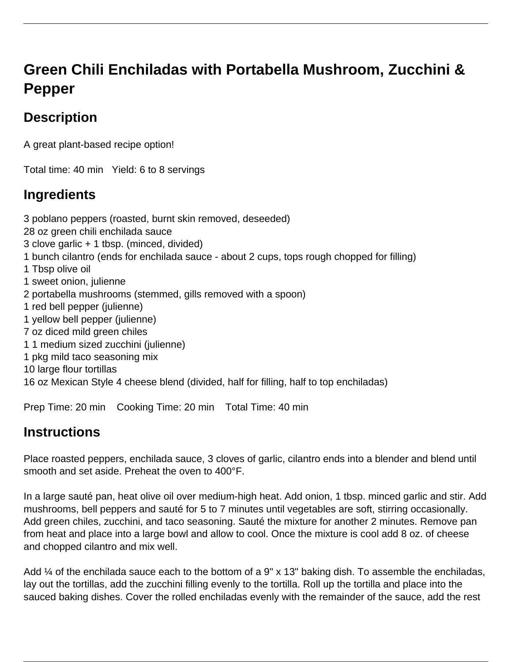# **Green Chili Enchiladas with Portabella Mushroom, Zucchini & Pepper**

## **Description**

A great plant-based recipe option!

Total time: 40 min Yield: 6 to 8 servings

### **Ingredients**

3 poblano peppers (roasted, burnt skin removed, deseeded) 28 oz green chili enchilada sauce 3 clove garlic + 1 tbsp. (minced, divided) 1 bunch cilantro (ends for enchilada sauce - about 2 cups, tops rough chopped for filling) 1 Tbsp olive oil 1 sweet onion, julienne 2 portabella mushrooms (stemmed, gills removed with a spoon) 1 red bell pepper (julienne) 1 yellow bell pepper (julienne) 7 oz diced mild green chiles 1 1 medium sized zucchini (julienne) 1 pkg mild taco seasoning mix 10 large flour tortillas 16 oz Mexican Style 4 cheese blend (divided, half for filling, half to top enchiladas)

Prep Time: 20 min Cooking Time: 20 min Total Time: 40 min

### **Instructions**

Place roasted peppers, enchilada sauce, 3 cloves of garlic, cilantro ends into a blender and blend until smooth and set aside. Preheat the oven to 400°F.

In a large sauté pan, heat olive oil over medium-high heat. Add onion, 1 tbsp. minced garlic and stir. Add mushrooms, bell peppers and sauté for 5 to 7 minutes until vegetables are soft, stirring occasionally. Add green chiles, zucchini, and taco seasoning. Sauté the mixture for another 2 minutes. Remove pan from heat and place into a large bowl and allow to cool. Once the mixture is cool add 8 oz. of cheese and chopped cilantro and mix well.

Add ¼ of the enchilada sauce each to the bottom of a 9" x 13" baking dish. To assemble the enchiladas, lay out the tortillas, add the zucchini filling evenly to the tortilla. Roll up the tortilla and place into the sauced baking dishes. Cover the rolled enchiladas evenly with the remainder of the sauce, add the rest